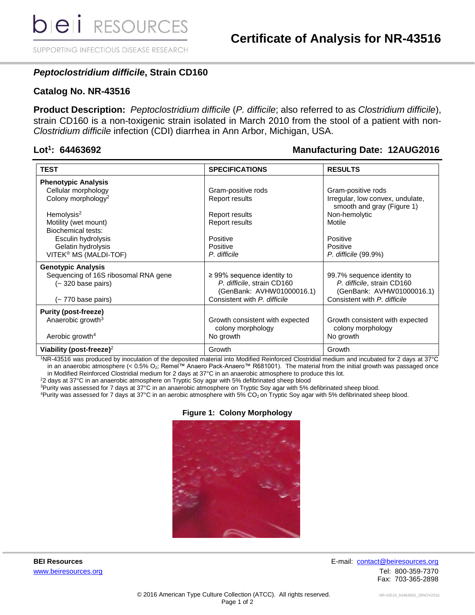SUPPORTING INFECTIOUS DISEASE RESEARCH

## *Peptoclostridium difficile***, Strain CD160**

### **Catalog No. NR-43516**

**Product Description:** *Peptoclostridium difficile* (*P. difficile*; also referred to as *Clostridium difficile*), strain CD160 is a non-toxigenic strain isolated in March 2010 from the stool of a patient with non-*Clostridium difficile* infection (CDI) diarrhea in Ann Arbor, Michigan, USA.

#### Lot<sup>1</sup>: 64463692

### **: 64463692 Manufacturing Date: 12AUG2016**

| <b>TEST</b>                          | <b>SPECIFICATIONS</b>           | <b>RESULTS</b>                                                 |
|--------------------------------------|---------------------------------|----------------------------------------------------------------|
| <b>Phenotypic Analysis</b>           |                                 |                                                                |
| Cellular morphology                  | Gram-positive rods              | Gram-positive rods                                             |
| Colony morphology <sup>2</sup>       | Report results                  | Irregular, low convex, undulate,<br>smooth and gray (Figure 1) |
| Hemolysis <sup>2</sup>               | Report results                  | Non-hemolytic                                                  |
| Motility (wet mount)                 | Report results                  | Motile                                                         |
| Biochemical tests:                   |                                 |                                                                |
| Esculin hydrolysis                   | Positive                        | Positive                                                       |
| Gelatin hydrolysis                   | Positive                        | Positive                                                       |
| VITEK <sup>®</sup> MS (MALDI-TOF)    | P. difficile                    | P. difficile (99.9%)                                           |
| <b>Genotypic Analysis</b>            |                                 |                                                                |
| Sequencing of 16S ribosomal RNA gene | $\geq$ 99% sequence identity to | 99.7% sequence identity to                                     |
| (~320 base pairs)                    | P. difficile, strain CD160      | P. difficile, strain CD160                                     |
|                                      | (GenBank: AVHW01000016.1)       | (GenBank: AVHW01000016.1)                                      |
| (~ 770 base pairs)                   | Consistent with P. difficile    | Consistent with P. difficile                                   |
| <b>Purity (post-freeze)</b>          |                                 |                                                                |
| Anaerobic growth <sup>3</sup>        | Growth consistent with expected | Growth consistent with expected                                |
|                                      | colony morphology               | colony morphology                                              |
| Aerobic growth <sup>4</sup>          | No growth                       | No growth                                                      |
| Viability (post-freeze) <sup>2</sup> | Growth                          | Growth                                                         |

<sup>1</sup>NR-43516 was produced by inoculation of the deposited material into Modified Reinforced Clostridial medium and incubated for 2 days at 37°C in an anaerobic atmosphere (< 0.5% O2; Remel™ Anaero Pack-Anaero™ R681001). The material from the initial growth was passaged once in Modified Reinforced Clostridial medium for 2 days at 37°C in an anaerobic atmosphere to produce this lot.

<sup>2</sup>2 days at 37°C in an anaerobic atmosphere on Tryptic Soy agar with 5% defibrinated sheep blood

<sup>3</sup>Purity was assessed for 7 days at 37°C in an anaerobic atmosphere on Tryptic Soy agar with 5% defibrinated sheep blood.

<sup>4</sup>Purity was assessed for 7 days at 37°C in an aerobic atmosphere with 5% CO<sub>2</sub> on Tryptic Soy agar with 5% defibrinated sheep blood.

#### **Figure 1: Colony Morphology**



**BEI Resources** E-mail: contact@beiresources.org [www.beiresources.org](http://www.beiresources.org/) **William Struck and Tel: 800-359-7370** Fax: 703-365-2898